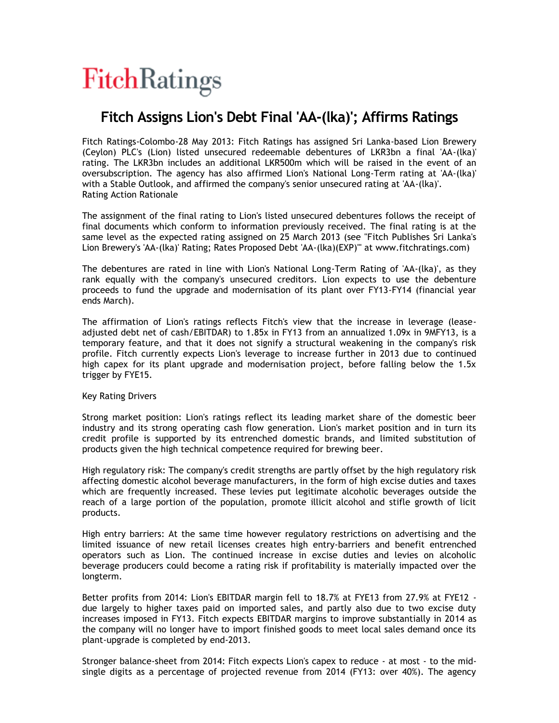

## **Fitch Assigns Lion's Debt Final 'AA-(lka)'; Affirms Ratings**

Fitch Ratings-Colombo-28 May 2013: Fitch Ratings has assigned Sri Lanka-based Lion Brewery (Ceylon) PLC's (Lion) listed unsecured redeemable debentures of LKR3bn a final 'AA-(lka)' rating. The LKR3bn includes an additional LKR500m which will be raised in the event of an oversubscription. The agency has also affirmed Lion's National Long-Term rating at 'AA-(lka)' with a Stable Outlook, and affirmed the company's senior unsecured rating at 'AA-(lka)'. Rating Action Rationale

The assignment of the final rating to Lion's listed unsecured debentures follows the receipt of final documents which conform to information previously received. The final rating is at the same level as the expected rating assigned on 25 March 2013 (see "Fitch Publishes Sri Lanka's Lion Brewery's 'AA-(lka)' Rating; Rates Proposed Debt 'AA-(lka)(EXP)'" at www.fitchratings.com)

The debentures are rated in line with Lion's National Long-Term Rating of 'AA-(lka)', as they rank equally with the company's unsecured creditors. Lion expects to use the debenture proceeds to fund the upgrade and modernisation of its plant over FY13-FY14 (financial year ends March).

The affirmation of Lion's ratings reflects Fitch's view that the increase in leverage (leaseadjusted debt net of cash/EBITDAR) to 1.85x in FY13 from an annualized 1.09x in 9MFY13, is a temporary feature, and that it does not signify a structural weakening in the company's risk profile. Fitch currently expects Lion's leverage to increase further in 2013 due to continued high capex for its plant upgrade and modernisation project, before falling below the 1.5x trigger by FYE15.

Key Rating Drivers

Strong market position: Lion's ratings reflect its leading market share of the domestic beer industry and its strong operating cash flow generation. Lion's market position and in turn its credit profile is supported by its entrenched domestic brands, and limited substitution of products given the high technical competence required for brewing beer.

High regulatory risk: The company's credit strengths are partly offset by the high regulatory risk affecting domestic alcohol beverage manufacturers, in the form of high excise duties and taxes which are frequently increased. These levies put legitimate alcoholic beverages outside the reach of a large portion of the population, promote illicit alcohol and stifle growth of licit products.

High entry barriers: At the same time however regulatory restrictions on advertising and the limited issuance of new retail licenses creates high entry-barriers and benefit entrenched operators such as Lion. The continued increase in excise duties and levies on alcoholic beverage producers could become a rating risk if profitability is materially impacted over the longterm.

Better profits from 2014: Lion's EBITDAR margin fell to 18.7% at FYE13 from 27.9% at FYE12 due largely to higher taxes paid on imported sales, and partly also due to two excise duty increases imposed in FY13. Fitch expects EBITDAR margins to improve substantially in 2014 as the company will no longer have to import finished goods to meet local sales demand once its plant-upgrade is completed by end-2013.

Stronger balance-sheet from 2014: Fitch expects Lion's capex to reduce - at most - to the midsingle digits as a percentage of projected revenue from 2014 (FY13: over 40%). The agency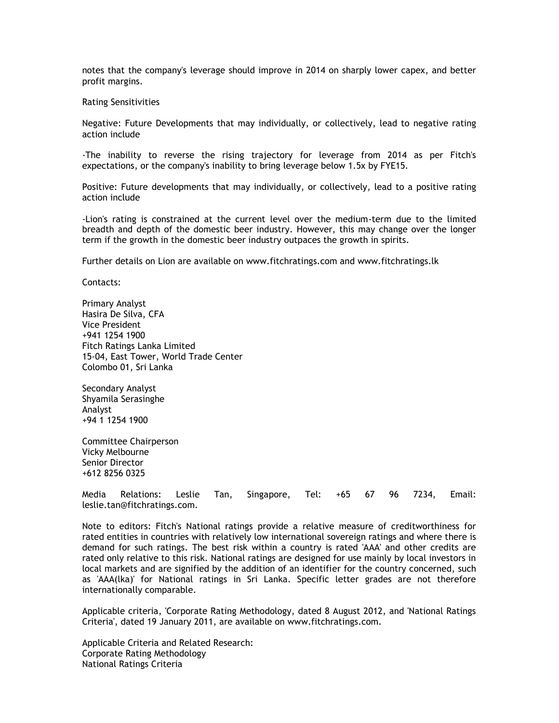notes that the company's leverage should improve in 2014 on sharply lower capex, and better profit margins.

Rating Sensitivities

Negative: Future Developments that may individually, or collectively, lead to negative rating action include

-The inability to reverse the rising trajectory for leverage from 2014 as per Fitch's expectations, or the company's inability to bring leverage below 1.5x by FYE15.

Positive: Future developments that may individually, or collectively, lead to a positive rating action include

-Lion's rating is constrained at the current level over the medium-term due to the limited breadth and depth of the domestic beer industry. However, this may change over the longer term if the growth in the domestic beer industry outpaces the growth in spirits.

Further details on Lion are available on www.fitchratings.com and www.fitchratings.lk

Contacts:

Primary Analyst Hasira De Silva, CFA Vice President +941 1254 1900 Fitch Ratings Lanka Limited 15-04, East Tower, World Trade Center Colombo 01, Sri Lanka

Secondary Analyst Shyamila Serasinghe Analyst +94 1 1254 1900

Committee Chairperson Vicky Melbourne Senior Director +612 8256 0325

Media Relations: Leslie Tan, Singapore, Tel: +65 67 96 7234, Email: leslie.tan@fitchratings.com.

Note to editors: Fitch's National ratings provide a relative measure of creditworthiness for rated entities in countries with relatively low international sovereign ratings and where there is demand for such ratings. The best risk within a country is rated 'AAA' and other credits are rated only relative to this risk. National ratings are designed for use mainly by local investors in local markets and are signified by the addition of an identifier for the country concerned, such as 'AAA(lka)' for National ratings in Sri Lanka. Specific letter grades are not therefore internationally comparable.

Applicable criteria, 'Corporate Rating Methodology, dated 8 August 2012, and 'National Ratings Criteria', dated 19 January 2011, are available on www.fitchratings.com.

Applicable Criteria and Related Research: Corporate Rating Methodology National Ratings Criteria